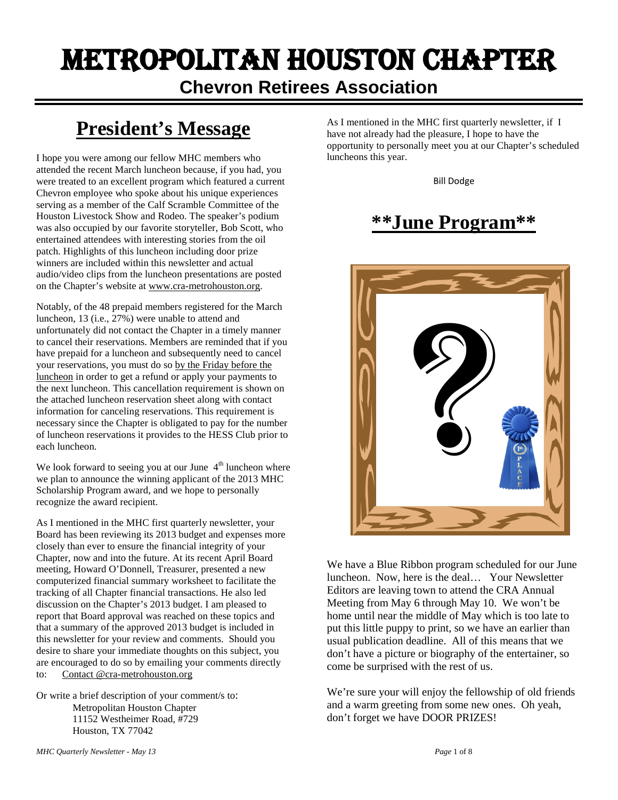## Metropolitan Houston Chapter **Chevron Retirees Association**

## **President's Message**

I hope you were among our fellow MHC members who attended the recent March luncheon because, if you had, you were treated to an excellent program which featured a current Chevron employee who spoke about his unique experiences serving as a member of the Calf Scramble Committee of the Houston Livestock Show and Rodeo. The speaker's podium was also occupied by our favorite storyteller, Bob Scott, who entertained attendees with interesting stories from the oil patch. Highlights of this luncheon including door prize winners are included within this newsletter and actual audio/video clips from the luncheon presentations are posted on the Chapter's website at www.cra-metrohouston.org.

Notably, of the 48 prepaid members registered for the March luncheon, 13 (i.e., 27%) were unable to attend and unfortunately did not contact the Chapter in a timely manner to cancel their reservations. Members are reminded that if you have prepaid for a luncheon and subsequently need to cancel your reservations, you must do so by the Friday before the luncheon in order to get a refund or apply your payments to the next luncheon. This cancellation requirement is shown on the attached luncheon reservation sheet along with contact information for canceling reservations. This requirement is necessary since the Chapter is obligated to pay for the number of luncheon reservations it provides to the HESS Club prior to each luncheon.

We look forward to seeing you at our June  $4<sup>th</sup>$  luncheon where we plan to announce the winning applicant of the 2013 MHC Scholarship Program award, and we hope to personally recognize the award recipient.

As I mentioned in the MHC first quarterly newsletter, your Board has been reviewing its 2013 budget and expenses more closely than ever to ensure the financial integrity of your Chapter, now and into the future. At its recent April Board meeting, Howard O'Donnell, Treasurer, presented a new computerized financial summary worksheet to facilitate the tracking of all Chapter financial transactions. He also led discussion on the Chapter's 2013 budget. I am pleased to report that Board approval was reached on these topics and that a summary of the approved 2013 budget is included in this newsletter for your review and comments. Should you desire to share your immediate thoughts on this subject, you are encouraged to do so by emailing your comments directly to: Contact @cra-metrohouston.org

Or write a brief description of your comment/s to: Metropolitan Houston Chapter 11152 Westheimer Road, #729 Houston, TX 77042

As I mentioned in the MHC first quarterly newsletter, if I have not already had the pleasure, I hope to have the opportunity to personally meet you at our Chapter's scheduled luncheons this year.

Bill Dodge

## **\*\*June Program\*\***



We have a Blue Ribbon program scheduled for our June luncheon. Now, here is the deal… Your Newsletter Editors are leaving town to attend the CRA Annual Meeting from May 6 through May 10. We won't be home until near the middle of May which is too late to put this little puppy to print, so we have an earlier than usual publication deadline. All of this means that we don't have a picture or biography of the entertainer, so come be surprised with the rest of us.

We're sure your will enjoy the fellowship of old friends and a warm greeting from some new ones. Oh yeah, don't forget we have DOOR PRIZES!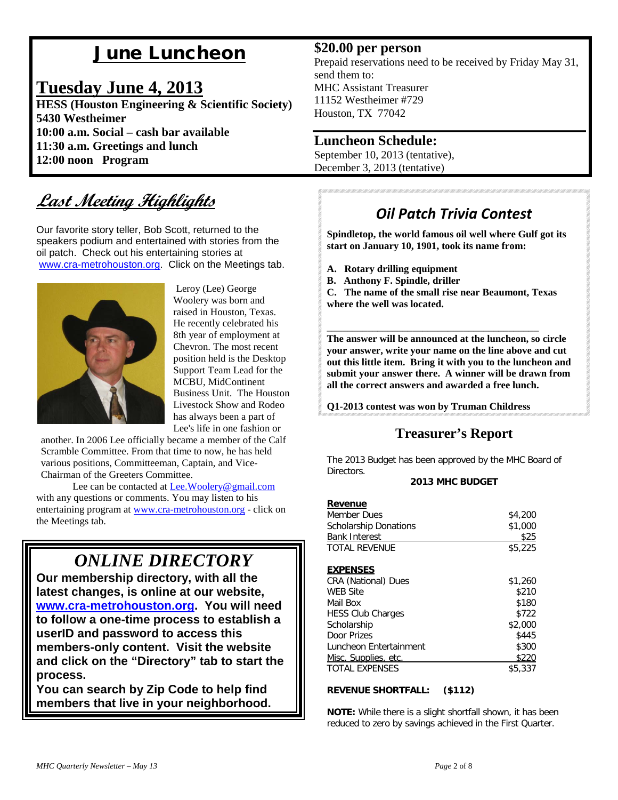## June Luncheon

### **Tuesday June 4, 2013**

**HESS (Houston Engineering & Scientific Society) 5430 Westheimer 10:00 a.m. Social – cash bar available 11:30 a.m. Greetings and lunch 12:00 noon Program**

## **Last Meeting Highlights**

Our favorite story teller, Bob Scott, returned to the speakers podium and entertained with stories from the oil patch. Check out his entertaining stories at [www.cra-metrohouston.org.](http://www.cra-metrohouston.org/) Click on the Meetings tab.



Leroy (Lee) George Woolery was born and raised in Houston, Texas. He recently celebrated his 8th year of employment at Chevron. The most recent position held is the Desktop Support Team Lead for the MCBU, MidContinent Business Unit. The Houston Livestock Show and Rodeo has always been a part of Lee's life in one fashion or

another. In 2006 Lee officially became a member of the Calf Scramble Committee. From that time to now, he has held various positions, Committeeman, Captain, and Vice-Chairman of the Greeters Committee.

Lee can be contacted at [Lee.Woolery@gmail.com](mailto:Lee.Woolery@gmail.com)  with any questions or comments. You may listen to his entertaining program at [www.cra-metrohouston.org](http://www.cra-metrohouston.org/) - click on the Meetings tab.

## *ONLINE DIRECTORY*

**Our membership directory, with all the latest changes, is online at our website, [www.cra-metrohouston.org.](http://www.cra-metrohouston.org/) You will need to follow a one-time process to establish a userID and password to access this members-only content. Visit the website and click on the "Directory" tab to start the process.** 

**You can search by Zip Code to help find members that live in your neighborhood.** 

#### **\$20.00 per person**

Prepaid reservations need to be received by Friday May 31, send them to: MHC Assistant Treasurer 11152 Westheimer #729 Houston, TX 77042

#### **Luncheon Schedule:**

September 10, 2013 (tentative), December 3, 2013 (tentative)

### *Oil Patch Trivia Contest*

**Spindletop, the world famous oil well where Gulf got its start on January 10, 1901, took its name from:**

- **A. Rotary drilling equipment**
- **B. Anthony F. Spindle, driller**

**C. The name of the small rise near Beaumont, Texas where the well was located.**

\_\_\_\_\_\_\_\_\_\_\_\_\_\_\_\_\_\_\_\_\_\_\_\_\_\_\_\_\_\_\_\_\_\_\_\_\_\_\_\_\_\_

**The answer will be announced at the luncheon, so circle your answer, write your name on the line above and cut out this little item. Bring it with you to the luncheon and submit your answer there. A winner will be drawn from all the correct answers and awarded a free lunch.** 

**Q1-2013 contest was won by Truman Childress** 

### **Treasurer's Report**

The 2013 Budget has been approved by the MHC Board of Directors.

#### **2013 MHC BUDGET**

| <b>Revenue</b>               |         |
|------------------------------|---------|
| Member Dues                  | \$4,200 |
| <b>Scholarship Donations</b> | \$1,000 |
| <b>Bank Interest</b>         | \$25    |
| <b>TOTAL REVENUE</b>         | \$5,225 |
|                              |         |
| <b>EXPENSES</b>              |         |
| <b>CRA (National) Dues</b>   | \$1,260 |
| <b>WEB Site</b>              | \$210   |
| Mail Box                     | \$180   |
| <b>HESS Club Charges</b>     | \$722   |
| Scholarship                  | \$2,000 |
| Door Prizes                  | \$445   |
| Luncheon Entertainment       | \$300   |
| Misc. Supplies, etc.         | \$220   |
| <b>TOTAL EXPENSES</b>        | \$5,337 |

#### **REVENUE SHORTFALL: (\$112)**

**NOTE:** While there is a slight shortfall shown, it has been reduced to zero by savings achieved in the First Quarter.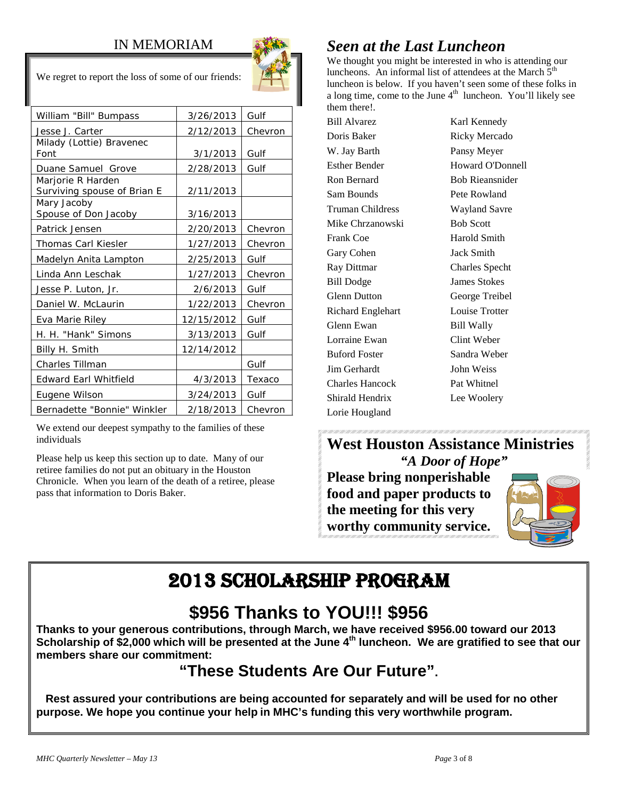#### IN MEMORIAM



We regret to report the loss of some of our friends:

| William "Bill" Bumpass                           | 3/26/2013  | Gulf    |
|--------------------------------------------------|------------|---------|
| Jesse J. Carter                                  | 2/12/2013  | Chevron |
| Milady (Lottie) Bravenec<br>Font                 | 3/1/2013   | Gulf    |
| Duane Samuel Grove                               | 2/28/2013  | Gulf    |
| Marjorie R Harden<br>Surviving spouse of Brian E | 2/11/2013  |         |
| Mary Jacoby<br>Spouse of Don Jacoby              | 3/16/2013  |         |
| Patrick Jensen                                   | 2/20/2013  | Chevron |
| <b>Thomas Carl Kiesler</b>                       | 1/27/2013  | Chevron |
| Madelyn Anita Lampton                            | 2/25/2013  | Gulf    |
| Linda Ann Leschak                                | 1/27/2013  | Chevron |
| Jesse P. Luton, Jr.                              | 2/6/2013   | Gulf    |
| Daniel W. McLaurin                               | 1/22/2013  | Chevron |
| Eva Marie Riley                                  | 12/15/2012 | Gulf    |
| H. H. "Hank" Simons                              | 3/13/2013  | Gulf    |
| Billy H. Smith                                   | 12/14/2012 |         |
| Charles Tillman                                  |            | Gulf    |
| <b>Edward Earl Whitfield</b>                     | 4/3/2013   | Texaco  |
| Eugene Wilson                                    | 3/24/2013  | Gulf    |
| Bernadette "Bonnie" Winkler                      | 2/18/2013  | Chevron |

We extend our deepest sympathy to the families of these individuals

Please help us keep this section up to date. Many of our retiree families do not put an obituary in the Houston Chronicle. When you learn of the death of a retiree, please pass that information to Doris Baker.

## *Seen at the Last Luncheon*

We thought you might be interested in who is attending our luncheons. An informal list of attendees at the March  $5<sup>th</sup>$ luncheon is below. If you haven't seen some of these folks in a long time, come to the June  $4<sup>th</sup>$  luncheon. You'll likely see them there!.

Bill Alvarez Karl Kennedy Doris Baker Ricky Mercado W. Jay Barth Pansy Meyer Esther Bender Howard O'Donnell Ron Bernard Bob Rieansnider Sam Bounds Pete Rowland Truman Childress Wayland Savre Mike Chrzanowski Bob Scott Frank Coe Harold Smith Gary Cohen Jack Smith Ray Dittmar Charles Specht Bill Dodge James Stokes Glenn Dutton George Treibel Richard Englehart Louise Trotter Glenn Ewan Bill Wally Lorraine Ewan Clint Weber Buford Foster Sandra Weber Jim Gerhardt John Weiss Charles Hancock Pat Whitnel Shirald Hendrix Lee Woolery Lorie Hougland

**West Houston Assistance Ministries** *"A Door of Hope"*

**Please bring nonperishable food and paper products to the meeting for this very worthy community service.**



## 2013 SCHOLARSHIP PROGRAM

## **\$956 Thanks to YOU!!! \$956**

**Thanks to your generous contributions, through March, we have received \$956.00 toward our 2013 Scholarship of \$2,000 which will be presented at the June 4<sup>th</sup> Iuncheon. We are gratified to see that our members share our commitment:** 

## **"These Students Are Our Future".**

 **Rest assured your contributions are being accounted for separately and will be used for no other purpose. We hope you continue your help in MHC's funding this very worthwhile program.**